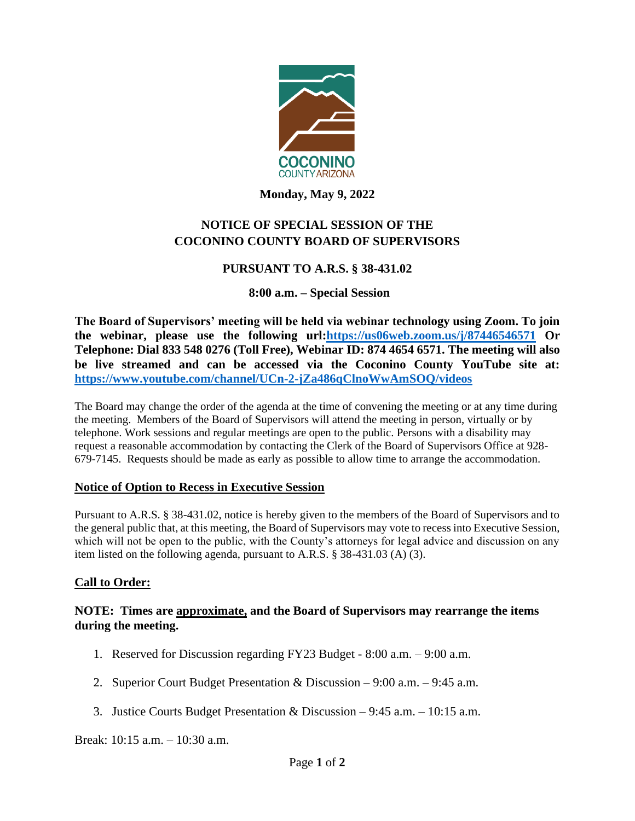

**Monday, May 9, 2022**

# **NOTICE OF SPECIAL SESSION OF THE COCONINO COUNTY BOARD OF SUPERVISORS**

## **PURSUANT TO A.R.S. § 38-431.02**

### **8:00 a.m. – Special Session**

**The Board of Supervisors' meeting will be held via webinar technology using Zoom. To join the webinar, please use the following url[:https://us06web.zoom.us/j/87446546571](https://us06web.zoom.us/j/87446546571) Or Telephone: Dial 833 548 0276 (Toll Free), Webinar ID: 874 4654 6571. The meeting will also be live streamed and can be accessed via the Coconino County YouTube site at: <https://www.youtube.com/channel/UCn-2-jZa486qClnoWwAmSOQ/videos>**

The Board may change the order of the agenda at the time of convening the meeting or at any time during the meeting. Members of the Board of Supervisors will attend the meeting in person, virtually or by telephone. Work sessions and regular meetings are open to the public. Persons with a disability may request a reasonable accommodation by contacting the Clerk of the Board of Supervisors Office at 928- 679-7145. Requests should be made as early as possible to allow time to arrange the accommodation.

### **Notice of Option to Recess in Executive Session**

Pursuant to A.R.S. § 38-431.02, notice is hereby given to the members of the Board of Supervisors and to the general public that, at this meeting, the Board of Supervisors may vote to recess into Executive Session, which will not be open to the public, with the County's attorneys for legal advice and discussion on any item listed on the following agenda, pursuant to A.R.S. § 38-431.03 (A) (3).

### **Call to Order:**

### **NOTE: Times are approximate, and the Board of Supervisors may rearrange the items during the meeting.**

- 1. Reserved for Discussion regarding FY23 Budget 8:00 a.m. 9:00 a.m.
- 2. Superior Court Budget Presentation & Discussion 9:00 a.m. 9:45 a.m.
- 3. Justice Courts Budget Presentation & Discussion 9:45 a.m. 10:15 a.m.

Break: 10:15 a.m. – 10:30 a.m.